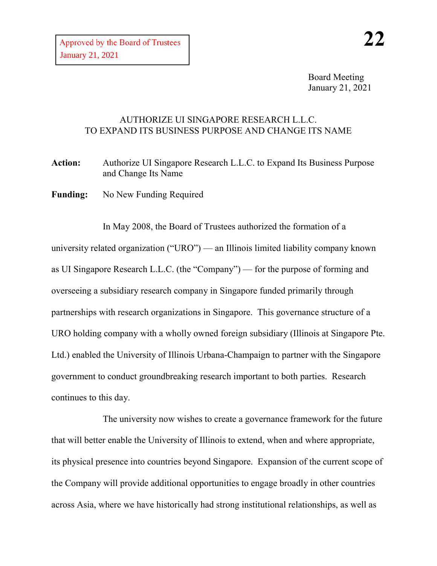Board Meeting January 21, 2021

## AUTHORIZE UI SINGAPORE RESEARCH L.L.C. TO EXPAND ITS BUSINESS PURPOSE AND CHANGE ITS NAME

**Action:** Authorize UI Singapore Research L.L.C. to Expand Its Business Purpose and Change Its Name

**Funding:** No New Funding Required

In May 2008, the Board of Trustees authorized the formation of a university related organization ("URO") — an Illinois limited liability company known as UI Singapore Research L.L.C. (the "Company") — for the purpose of forming and overseeing a subsidiary research company in Singapore funded primarily through partnerships with research organizations in Singapore. This governance structure of a URO holding company with a wholly owned foreign subsidiary (Illinois at Singapore Pte. Ltd.) enabled the University of Illinois Urbana-Champaign to partner with the Singapore government to conduct groundbreaking research important to both parties. Research continues to this day.

The university now wishes to create a governance framework for the future that will better enable the University of Illinois to extend, when and where appropriate, its physical presence into countries beyond Singapore. Expansion of the current scope of the Company will provide additional opportunities to engage broadly in other countries across Asia, where we have historically had strong institutional relationships, as well as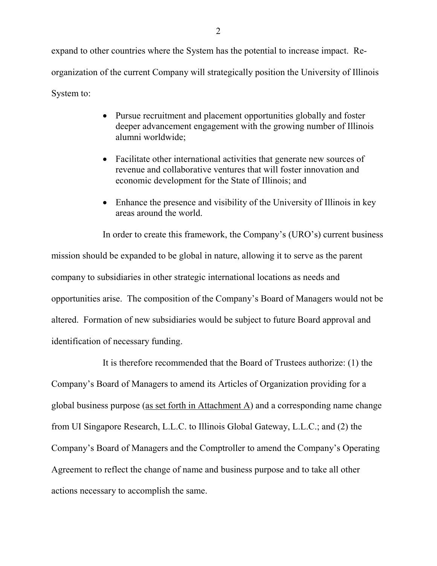expand to other countries where the System has the potential to increase impact. Reorganization of the current Company will strategically position the University of Illinois System to:

- Pursue recruitment and placement opportunities globally and foster deeper advancement engagement with the growing number of Illinois alumni worldwide;
- Facilitate other international activities that generate new sources of revenue and collaborative ventures that will foster innovation and economic development for the State of Illinois; and
- Enhance the presence and visibility of the University of Illinois in key areas around the world.

In order to create this framework, the Company's (URO's) current business mission should be expanded to be global in nature, allowing it to serve as the parent company to subsidiaries in other strategic international locations as needs and opportunities arise. The composition of the Company's Board of Managers would not be altered. Formation of new subsidiaries would be subject to future Board approval and identification of necessary funding.

It is therefore recommended that the Board of Trustees authorize: (1) the Company's Board of Managers to amend its Articles of Organization providing for a global business purpose (as set forth in Attachment  $\overline{A}$ ) and a corresponding name change from UI Singapore Research, L.L.C. to Illinois Global Gateway, L.L.C.; and (2) the Company's Board of Managers and the Comptroller to amend the Company's Operating Agreement to reflect the change of name and business purpose and to take all other actions necessary to accomplish the same.